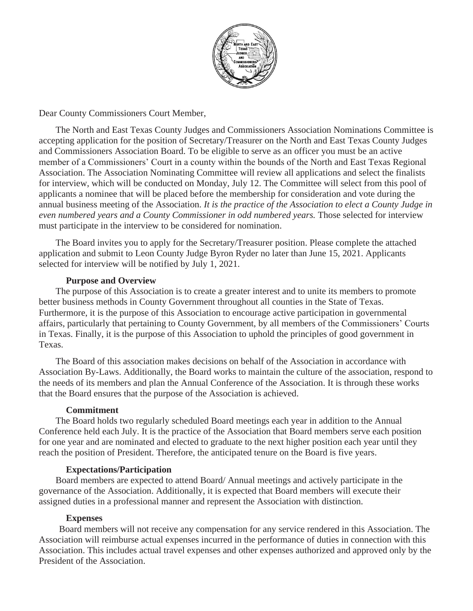

Dear County Commissioners Court Member,

The North and East Texas County Judges and Commissioners Association Nominations Committee is accepting application for the position of Secretary/Treasurer on the North and East Texas County Judges and Commissioners Association Board. To be eligible to serve as an officer you must be an active member of a Commissioners' Court in a county within the bounds of the North and East Texas Regional Association. The Association Nominating Committee will review all applications and select the finalists for interview, which will be conducted on Monday, July 12. The Committee will select from this pool of applicants a nominee that will be placed before the membership for consideration and vote during the annual business meeting of the Association. *It is the practice of the Association to elect a County Judge in even numbered years and a County Commissioner in odd numbered years.* Those selected for interview must participate in the interview to be considered for nomination.

The Board invites you to apply for the Secretary/Treasurer position. Please complete the attached application and submit to Leon County Judge Byron Ryder no later than June 15, 2021. Applicants selected for interview will be notified by July 1, 2021.

#### **Purpose and Overview**

The purpose of this Association is to create a greater interest and to unite its members to promote better business methods in County Government throughout all counties in the State of Texas. Furthermore, it is the purpose of this Association to encourage active participation in governmental affairs, particularly that pertaining to County Government, by all members of the Commissioners' Courts in Texas. Finally, it is the purpose of this Association to uphold the principles of good government in Texas.

The Board of this association makes decisions on behalf of the Association in accordance with Association By-Laws. Additionally, the Board works to maintain the culture of the association, respond to the needs of its members and plan the Annual Conference of the Association. It is through these works that the Board ensures that the purpose of the Association is achieved.

#### **Commitment**

The Board holds two regularly scheduled Board meetings each year in addition to the Annual Conference held each July. It is the practice of the Association that Board members serve each position for one year and are nominated and elected to graduate to the next higher position each year until they reach the position of President. Therefore, the anticipated tenure on the Board is five years.

## **Expectations/Participation**

Board members are expected to attend Board/ Annual meetings and actively participate in the governance of the Association. Additionally, it is expected that Board members will execute their assigned duties in a professional manner and represent the Association with distinction.

## **Expenses**

Board members will not receive any compensation for any service rendered in this Association. The Association will reimburse actual expenses incurred in the performance of duties in connection with this Association. This includes actual travel expenses and other expenses authorized and approved only by the President of the Association.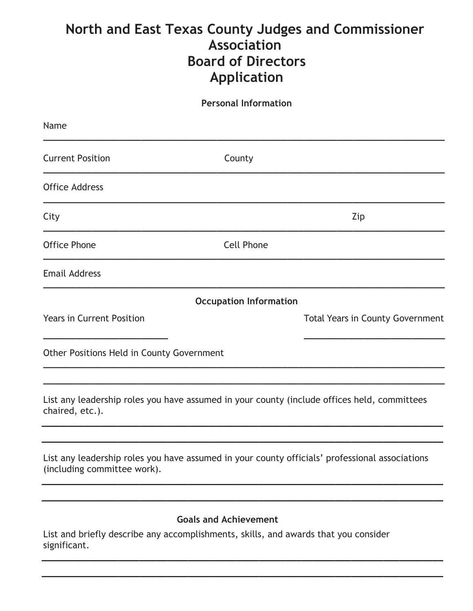# **North and East Texas County Judges and Commissioner Association Board of Directors Application**

**Personal Information**

| Name                                                                                                |                               |                                                                                                |
|-----------------------------------------------------------------------------------------------------|-------------------------------|------------------------------------------------------------------------------------------------|
| <b>Current Position</b>                                                                             | County                        |                                                                                                |
| <b>Office Address</b>                                                                               |                               |                                                                                                |
| City                                                                                                |                               | Zip                                                                                            |
| <b>Office Phone</b>                                                                                 | <b>Cell Phone</b>             |                                                                                                |
| <b>Email Address</b>                                                                                |                               |                                                                                                |
|                                                                                                     | <b>Occupation Information</b> |                                                                                                |
| <b>Years in Current Position</b>                                                                    |                               | <b>Total Years in County Government</b>                                                        |
| Other Positions Held in County Government                                                           |                               |                                                                                                |
| chaired, etc.).                                                                                     |                               | List any leadership roles you have assumed in your county (include offices held, committees    |
| (including committee work).                                                                         |                               | List any leadership roles you have assumed in your county officials' professional associations |
| List and briefly describe any accomplishments, skills, and awards that you consider<br>significant. | <b>Goals and Achievement</b>  |                                                                                                |

**\_\_\_\_\_\_\_\_\_\_\_\_\_\_\_\_\_\_\_\_\_\_\_\_\_\_\_\_\_\_\_\_\_\_\_\_\_\_\_\_\_\_\_\_\_\_\_\_\_\_\_\_\_\_\_\_\_\_\_\_\_\_\_\_\_\_\_\_\_\_\_\_\_\_**

**\_\_\_\_\_\_\_\_\_\_\_\_\_\_\_\_\_\_\_\_\_\_\_\_\_\_\_\_\_\_\_\_\_\_\_\_\_\_\_\_\_\_\_\_\_\_\_\_\_\_\_\_\_\_\_\_\_\_\_\_\_\_\_\_\_\_\_\_\_\_\_\_\_\_**